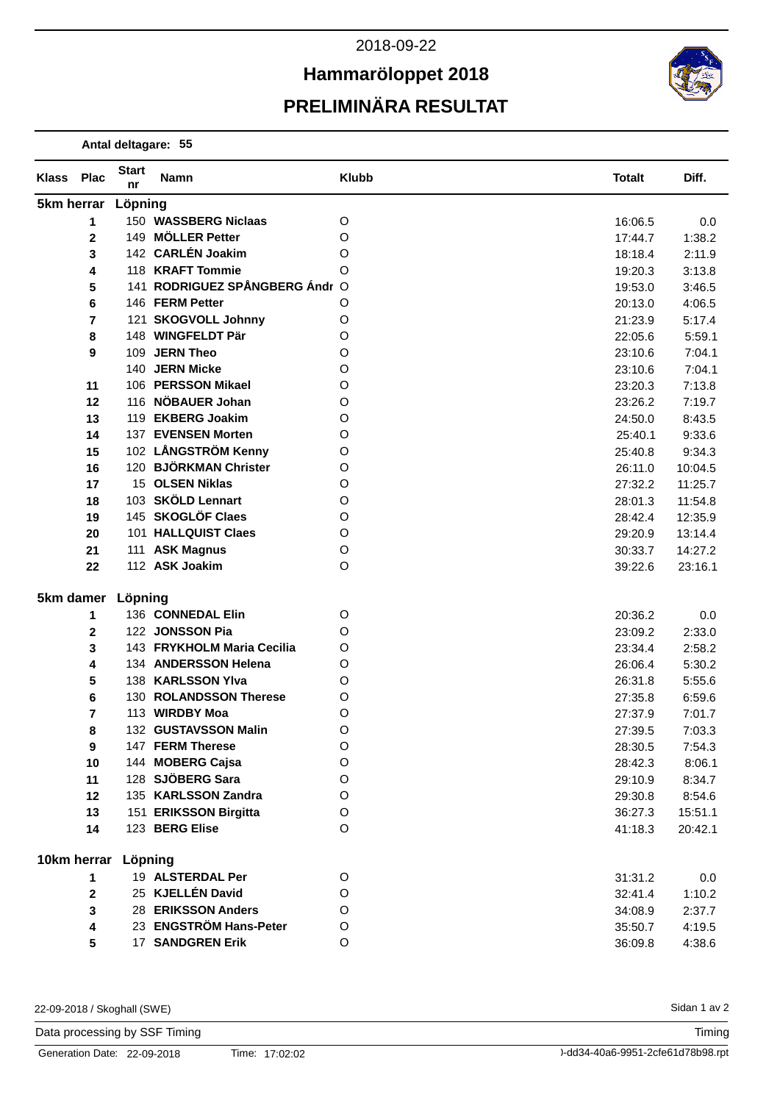## **Hammaröloppet 2018**



**Antal deltagare: 55**

| <b>Klass</b> | <b>Plac</b>              | <b>Start</b><br>nr | Namn                           | <b>Klubb</b> | <b>Totalt</b> | Diff.   |
|--------------|--------------------------|--------------------|--------------------------------|--------------|---------------|---------|
|              | 5km herrar Löpning       |                    |                                |              |               |         |
|              | 1                        |                    | 150 WASSBERG Niclaas           | O            | 16:06.5       | 0.0     |
|              | $\mathbf 2$              |                    | 149 MÖLLER Petter              | O            | 17:44.7       | 1:38.2  |
|              | 3                        |                    | 142 CARLÉN Joakim              | O            | 18:18.4       | 2:11.9  |
|              | 4                        |                    | 118 KRAFT Tommie               | O            | 19:20.3       | 3:13.8  |
|              | 5                        |                    | 141 RODRIGUEZ SPÅNGBERG Ándr O |              | 19:53.0       | 3:46.5  |
|              | 6                        |                    | 146 FERM Petter                | O            | 20:13.0       | 4:06.5  |
|              | $\overline{\phantom{a}}$ |                    | 121 SKOGVOLL Johnny            | O            | 21:23.9       | 5:17.4  |
|              | 8                        |                    | 148 WINGFELDT Pär              | O            | 22:05.6       | 5:59.1  |
|              | 9                        |                    | 109 JERN Theo                  | O            | 23:10.6       | 7:04.1  |
|              |                          | 140                | <b>JERN Micke</b>              | O            | 23:10.6       | 7:04.1  |
|              | 11                       |                    | 106 PERSSON Mikael             | O            | 23:20.3       | 7:13.8  |
|              | 12                       |                    | 116 NÖBAUER Johan              | O            | 23:26.2       | 7:19.7  |
|              | 13                       |                    | 119 EKBERG Joakim              | O            | 24:50.0       | 8:43.5  |
|              | 14                       |                    | 137 EVENSEN Morten             | O            | 25:40.1       | 9:33.6  |
|              | 15                       |                    | 102 LÅNGSTRÖM Kenny            | O            | 25:40.8       | 9:34.3  |
|              | 16                       |                    | 120 BJÖRKMAN Christer          | O            | 26:11.0       | 10:04.5 |
|              | 17                       |                    | 15 OLSEN Niklas                | O            | 27:32.2       | 11:25.7 |
|              | 18                       |                    | 103 SKÖLD Lennart              | O            | 28:01.3       | 11:54.8 |
|              | 19                       |                    | 145 SKOGLÖF Claes              | O            | 28:42.4       | 12:35.9 |
|              | 20                       |                    | 101 HALLQUIST Claes            | O            | 29:20.9       | 13:14.4 |
|              | 21                       |                    | 111 ASK Magnus                 | O            | 30:33.7       | 14:27.2 |
|              | 22                       |                    | 112 ASK Joakim                 | O            | 39:22.6       | 23:16.1 |
|              | 5km damer                | Löpning            |                                |              |               |         |
|              | 1                        |                    | 136 CONNEDAL Elin              | O            | 20:36.2       | 0.0     |
|              | $\mathbf 2$              |                    | 122 JONSSON Pia                | O            | 23:09.2       | 2:33.0  |
|              | 3                        |                    | 143 FRYKHOLM Maria Cecilia     | O            | 23:34.4       | 2:58.2  |
|              | 4                        |                    | 134 ANDERSSON Helena           | O            | 26:06.4       | 5:30.2  |
|              | 5                        |                    | 138 KARLSSON Ylva              | O            | 26:31.8       | 5:55.6  |
|              | 6                        |                    | 130 ROLANDSSON Therese         | O            | 27:35.8       | 6:59.6  |
|              | 7                        |                    | 113 WIRDBY Moa                 | O            | 27:37.9       | 7:01.7  |
|              | 8                        |                    | 132 GUSTAVSSON Malin           | O            | 27:39.5       | 7:03.3  |
|              | 9                        |                    | 147 FERM Therese               | O            | 28:30.5       | 7:54.3  |
|              | 10                       |                    | 144 MOBERG Cajsa               | $\circ$      | 28:42.3       | 8:06.1  |
|              | 11                       |                    | 128 SJÖBERG Sara               | $\circ$      | 29:10.9       | 8:34.7  |
|              | 12                       |                    | 135 KARLSSON Zandra            | $\circ$      | 29:30.8       | 8:54.6  |
|              | 13                       |                    | 151 ERIKSSON Birgitta          | $\circ$      | 36:27.3       | 15:51.1 |
|              | 14                       |                    | 123 BERG Elise                 | O            | 41:18.3       | 20:42.1 |
|              | 10km herrar Löpning      |                    |                                |              |               |         |
|              | 1                        |                    | 19 ALSTERDAL Per               | O            | 31:31.2       | 0.0     |
|              | 2                        |                    | 25 KJELLÉN David               | $\circ$      | 32:41.4       | 1:10.2  |
|              | 3                        |                    | 28 ERIKSSON Anders             | $\circ$      | 34:08.9       | 2:37.7  |
|              | 4                        |                    | 23 ENGSTRÖM Hans-Peter         | $\circ$      | 35:50.7       | 4:19.5  |
|              | 5                        |                    | 17 SANDGREN Erik               | O            | 36:09.8       | 4:38.6  |

22-09-2018 / Skoghall (SWE)

Data processing by SSF Timing

Sidan 1 av 2